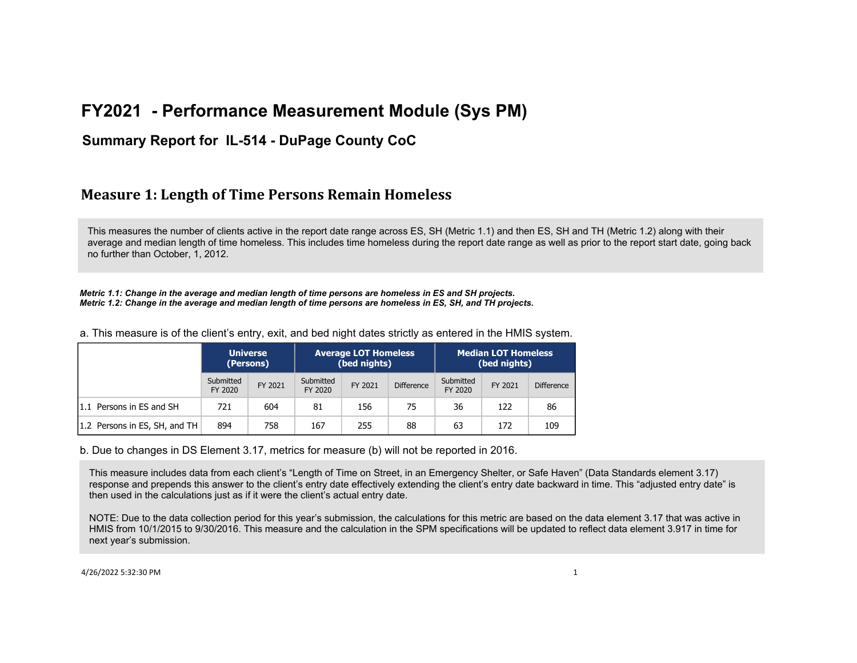#### **Summary Report for IL-514 - DuPage County CoC**

### **Measure 1: Length of Time Persons Remain Homeless**

This measures the number of clients active in the report date range across ES, SH (Metric 1.1) and then ES, SH and TH (Metric 1.2) along with their average and median length of time homeless. This includes time homeless during the report date range as well as prior to the report start date, going back no further than October, 1, 2012.

*Metric 1.1: Change in the average and median length of time persons are homeless in ES and SH projects. Metric 1.2: Change in the average and median length of time persons are homeless in ES, SH, and TH projects.*

**Universe (Persons) Average LOT Homeless (bed nights) Median LOT Homeless (bed nights)** Submitted FY 2020 FY 2021 Submitted FY 2020 FY 2021 Difference **Submitted** FY 2020 FY 2021 Difference 1.1 Persons in ES and SH 721 604 81 156 75 36 122 86 1.2 Persons in ES, SH, and TH 894 758 167 255 88 63 163 172 109

a. This measure is of the client's entry, exit, and bed night dates strictly as entered in the HMIS system.

b. Due to changes in DS Element 3.17, metrics for measure (b) will not be reported in 2016.

This measure includes data from each client's "Length of Time on Street, in an Emergency Shelter, or Safe Haven" (Data Standards element 3.17) response and prepends this answer to the client's entry date effectively extending the client's entry date backward in time. This "adjusted entry date" is then used in the calculations just as if it were the client's actual entry date.

NOTE: Due to the data collection period for this year's submission, the calculations for this metric are based on the data element 3.17 that was active in HMIS from 10/1/2015 to 9/30/2016. This measure and the calculation in the SPM specifications will be updated to reflect data element 3.917 in time for next year's submission.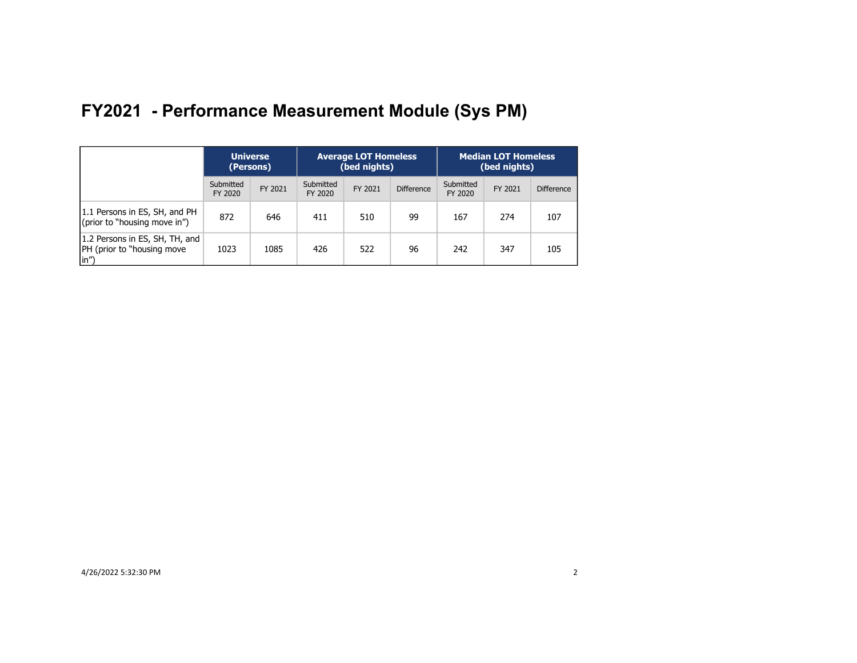|                                                                              | <b>Universe</b><br>(Persons) |         | <b>Average LOT Homeless</b><br>(bed nights) |         |                   |                      | <b>Median LOT Homeless</b><br>(bed nights) |                   |
|------------------------------------------------------------------------------|------------------------------|---------|---------------------------------------------|---------|-------------------|----------------------|--------------------------------------------|-------------------|
|                                                                              | Submitted<br>FY 2020         | FY 2021 | Submitted<br>FY 2020                        | FY 2021 | <b>Difference</b> | Submitted<br>FY 2020 | FY 2021                                    | <b>Difference</b> |
| 1.1 Persons in ES, SH, and PH<br>(prior to "housing move in")                | 872                          | 646     | 411                                         | 510     | 99                | 167                  | 274                                        | 107               |
| 1.2 Persons in ES, SH, TH, and<br><b>IPH</b> (prior to "housing move<br>(in" | 1023                         | 1085    | 426                                         | 522     | 96                | 242                  | 347                                        | 105               |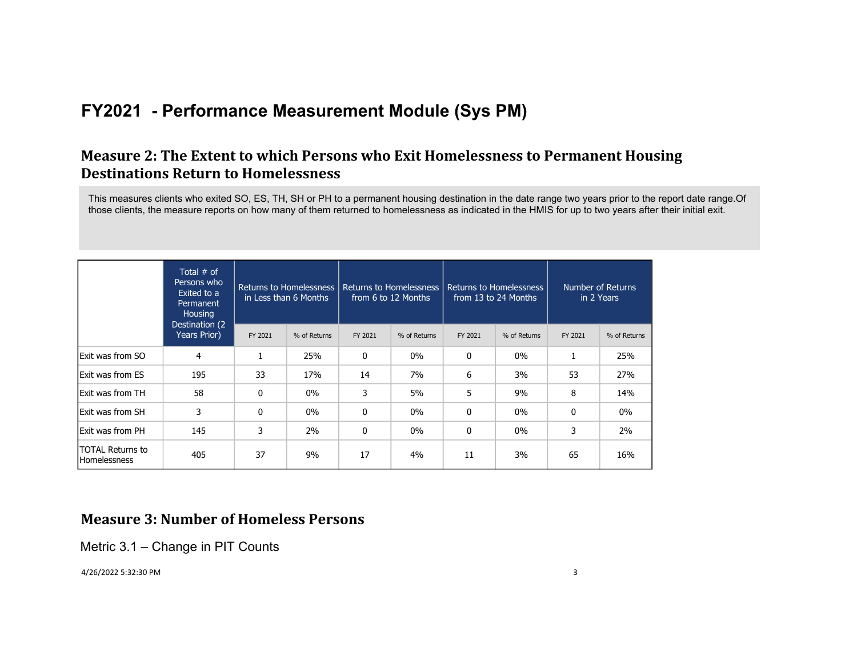### **Measure 2: The Extent to which Persons who Exit Homelessness to Permanent Housing Destinations Return to Homelessness**

This measures clients who exited SO, ES, TH, SH or PH to a permanent housing destination in the date range two years prior to the report date range.Of those clients, the measure reports on how many of them returned to homelessness as indicated in the HMIS for up to two years after their initial exit.

|                                                | Total $#$ of<br>Persons who<br>Exited to a<br>Permanent<br><b>Housing</b> |              | Returns to Homelessness<br>in Less than 6 Months | <b>Returns to Homelessness</b><br><b>Number of Returns</b><br><b>Returns to Homelessness</b><br>from 6 to 12 Months<br>from 13 to 24 Months<br>in 2 Years |              |              |              |         |              |
|------------------------------------------------|---------------------------------------------------------------------------|--------------|--------------------------------------------------|-----------------------------------------------------------------------------------------------------------------------------------------------------------|--------------|--------------|--------------|---------|--------------|
|                                                | Destination (2)<br>Years Prior)                                           | FY 2021      | % of Returns                                     | FY 2021                                                                                                                                                   | % of Returns | FY 2021      | % of Returns | FY 2021 | % of Returns |
| Exit was from SO                               | 4                                                                         |              | 25%                                              | $\mathbf{0}$                                                                                                                                              | $0\%$        | 0            | $0\%$        |         | 25%          |
| <b>Exit was from ES</b>                        | 195                                                                       | 33           | 17%                                              | 14                                                                                                                                                        | 7%           | 6            | 3%           | 53      | 27%          |
| Exit was from TH                               | 58                                                                        | $\mathbf{0}$ | $0\%$                                            | 3                                                                                                                                                         | 5%           | 5            | 9%           | 8       | 14%          |
| <b>Exit was from SH</b>                        | 3                                                                         | $\mathbf{0}$ | $0\%$                                            | $\mathbf{0}$                                                                                                                                              | $0\%$        | $\mathbf{0}$ | $0\%$        | 0       | $0\%$        |
| <b>Exit was from PH</b>                        | 145                                                                       | 3            | 2%                                               | 0                                                                                                                                                         | $0\%$        | 0            | $0\%$        | 3       | 2%           |
| <b>TOTAL Returns to</b><br><b>Homelessness</b> | 405                                                                       | 37           | 9%                                               | 17                                                                                                                                                        | 4%           | 11           | 3%           | 65      | 16%          |

### **Measure 3: Number of Homeless Persons**

Metric 3.1 – Change in PIT Counts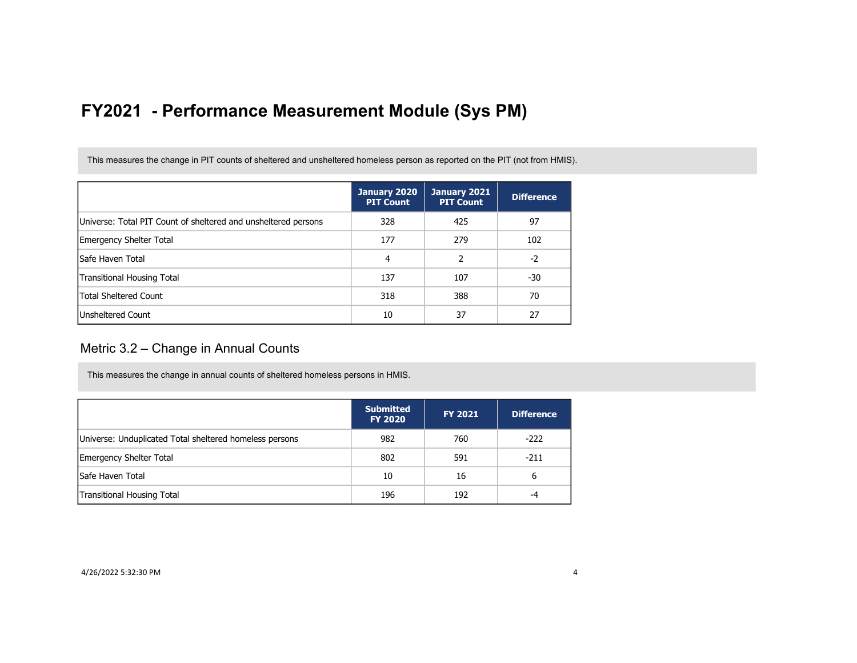This measures the change in PIT counts of sheltered and unsheltered homeless person as reported on the PIT (not from HMIS).

|                                                                | January 2020<br><b>PIT Count</b> | January 2021<br><b>PIT Count</b> | <b>Difference</b> |
|----------------------------------------------------------------|----------------------------------|----------------------------------|-------------------|
| Universe: Total PIT Count of sheltered and unsheltered persons | 328                              | 425                              | 97                |
| <b>Emergency Shelter Total</b>                                 | 177                              | 279                              | 102               |
| lSafe Haven Total                                              | 4                                | 2                                | $-2$              |
| Transitional Housing Total                                     | 137                              | 107                              | -30               |
| <b>Total Sheltered Count</b>                                   | 318                              | 388                              | 70                |
| <b>Unsheltered Count</b>                                       | 10                               | 37                               | 27                |

#### Metric 3.2 – Change in Annual Counts

This measures the change in annual counts of sheltered homeless persons in HMIS.

|                                                         | <b>Submitted</b><br><b>FY 2020</b> | <b>FY 2021</b> | <b>Difference</b> |
|---------------------------------------------------------|------------------------------------|----------------|-------------------|
| Universe: Unduplicated Total sheltered homeless persons | 982                                | 760            | $-222$            |
| <b>Emergency Shelter Total</b>                          | 802                                | 591            | $-211$            |
| Safe Haven Total                                        | 10                                 | 16             | 6                 |
| Transitional Housing Total                              | 196                                | 192            | -4                |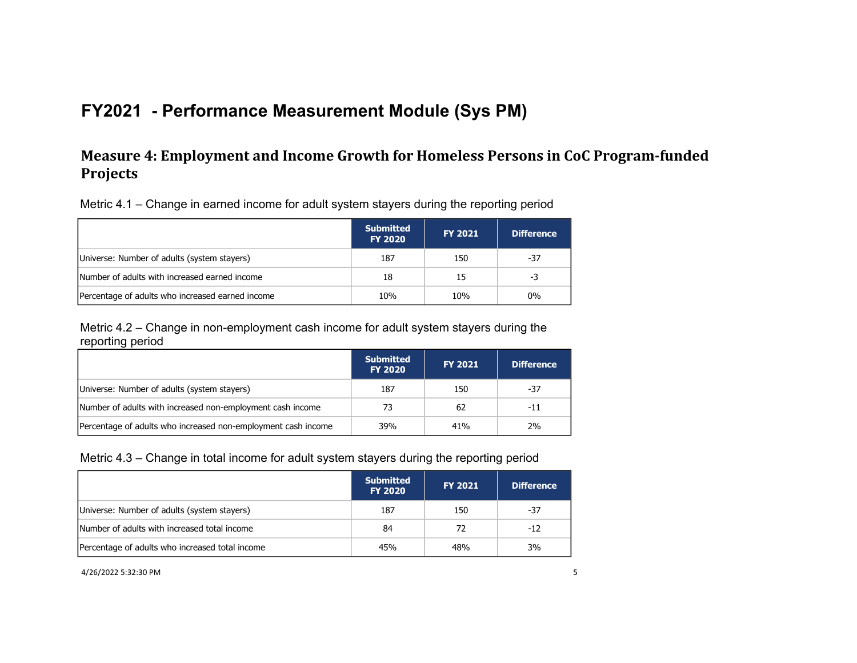### **Measure 4: Employment and Income Growth for Homeless Persons in CoC Program-funded Projects**

Metric 4.1 – Change in earned income for adult system stayers during the reporting period

|                                                  | <b>Submitted</b><br><b>FY 2020</b> | <b>FY 2021</b> | <b>Difference</b> |
|--------------------------------------------------|------------------------------------|----------------|-------------------|
| Universe: Number of adults (system stayers)      | 187                                | 150            | -37               |
| Number of adults with increased earned income    | 18                                 | 15             | -3                |
| Percentage of adults who increased earned income | 10%                                | 10%            | $0\%$             |

Metric 4.2 – Change in non-employment cash income for adult system stayers during the reporting period

|                                                               | <b>Submitted</b><br><b>FY 2020</b> | <b>FY 2021</b> | <b>Difference</b> |
|---------------------------------------------------------------|------------------------------------|----------------|-------------------|
| Universe: Number of adults (system stayers)                   | 187                                | 150            | -37               |
| Number of adults with increased non-employment cash income    | 73                                 | 62             | -11               |
| Percentage of adults who increased non-employment cash income | 39%                                | 41%            | 2%                |

Metric 4.3 – Change in total income for adult system stayers during the reporting period

|                                                 | <b>Submitted</b><br><b>FY 2020</b> | <b>FY 2021</b> | <b>Difference</b> |
|-------------------------------------------------|------------------------------------|----------------|-------------------|
| Universe: Number of adults (system stayers)     | 187                                | 150            | -37               |
| Number of adults with increased total income    | 84                                 | 72             | $-12$             |
| Percentage of adults who increased total income | 45%                                | 48%            | 3%                |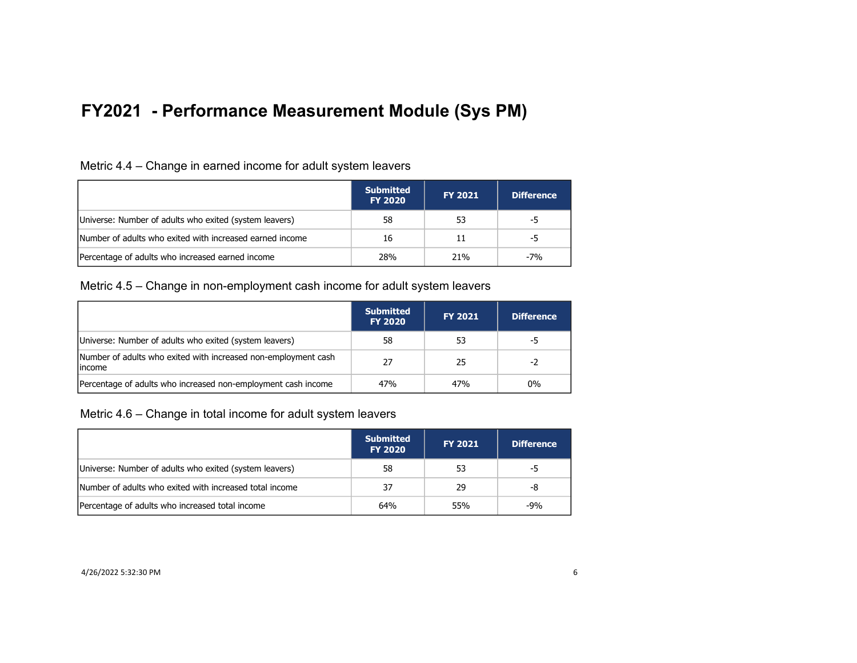|                                                          | <b>Submitted</b><br><b>FY 2020</b> | <b>FY 2021</b> | <b>Difference</b> |
|----------------------------------------------------------|------------------------------------|----------------|-------------------|
| Universe: Number of adults who exited (system leavers)   | 58                                 | 53             | -5                |
| Number of adults who exited with increased earned income | 16                                 | 11             | -5                |
| Percentage of adults who increased earned income         | 28%                                | 21%            | $-7%$             |

Metric 4.5 – Change in non-employment cash income for adult system leavers

|                                                                           | <b>Submitted</b><br><b>FY 2020</b> | <b>FY 2021</b> | <b>Difference</b> |
|---------------------------------------------------------------------------|------------------------------------|----------------|-------------------|
| Universe: Number of adults who exited (system leavers)                    | 58                                 | 53             | -5                |
| Number of adults who exited with increased non-employment cash<br>lincome | 27                                 | 25             | -2                |
| Percentage of adults who increased non-employment cash income             | 47%                                | 47%            | $0\%$             |

Metric 4.6 – Change in total income for adult system leavers

|                                                         | <b>Submitted</b><br><b>FY 2020</b> | <b>FY 2021</b> | <b>Difference</b> |
|---------------------------------------------------------|------------------------------------|----------------|-------------------|
| Universe: Number of adults who exited (system leavers)  | 58                                 | 53             | -5                |
| Number of adults who exited with increased total income | 37                                 | 29             | -8                |
| Percentage of adults who increased total income         | 64%                                | 55%            | $-9%$             |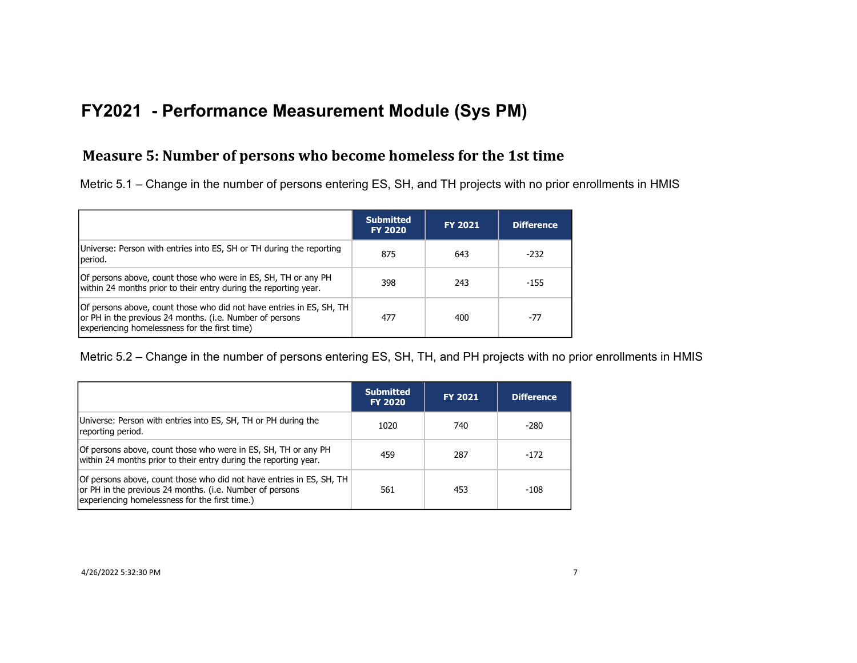### **Measure 5: Number of persons who become homeless for the 1st time**

Metric 5.1 – Change in the number of persons entering ES, SH, and TH projects with no prior enrollments in HMIS

|                                                                                                                                                                                   | <b>Submitted</b><br><b>FY 2020</b> | <b>FY 2021</b> | <b>Difference</b> |
|-----------------------------------------------------------------------------------------------------------------------------------------------------------------------------------|------------------------------------|----------------|-------------------|
| Universe: Person with entries into ES, SH or TH during the reporting<br>period.                                                                                                   | 875                                | 643            | -232              |
| Of persons above, count those who were in ES, SH, TH or any PH<br>within 24 months prior to their entry during the reporting year.                                                | 398                                | 243            | $-155$            |
| Of persons above, count those who did not have entries in ES, SH, TH<br>or PH in the previous 24 months. (i.e. Number of persons<br>experiencing homelessness for the first time) | 477                                | 400            | -77               |

Metric 5.2 – Change in the number of persons entering ES, SH, TH, and PH projects with no prior enrollments in HMIS

|                                                                                                                                                                                    | <b>Submitted</b><br><b>FY 2020</b> | <b>FY 2021</b> | <b>Difference</b> |
|------------------------------------------------------------------------------------------------------------------------------------------------------------------------------------|------------------------------------|----------------|-------------------|
| Universe: Person with entries into ES, SH, TH or PH during the<br>reporting period.                                                                                                | 1020                               | 740            | $-280$            |
| Of persons above, count those who were in ES, SH, TH or any PH<br>within 24 months prior to their entry during the reporting year.                                                 | 459                                | 287            | -172              |
| Of persons above, count those who did not have entries in ES, SH, TH<br>or PH in the previous 24 months. (i.e. Number of persons<br>experiencing homelessness for the first time.) | 561                                | 453            | -108              |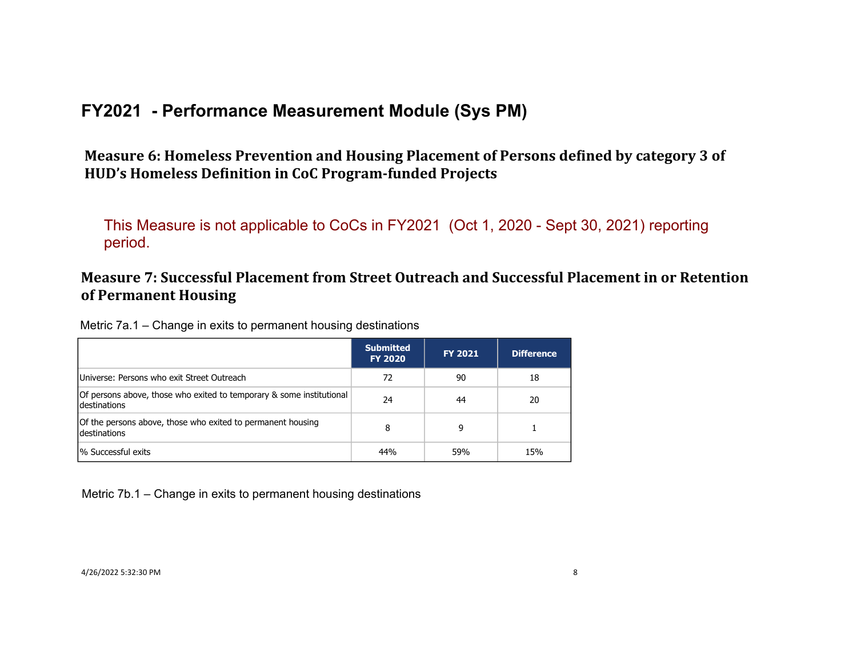Measure 6: Homeless Prevention and Housing Placement of Persons defined by category 3 of HUD's Homeless Definition in CoC Program-funded Projects

This Measure is not applicable to CoCs in FY2021 (Oct 1, 2020 - Sept 30, 2021) reporting period.

### **Measure 7: Successful Placement from Street Outreach and Successful Placement in or Retention of Permanent Housing**

Metric 7a.1 – Change in exits to permanent housing destinations

|                                                                                       | <b>Submitted</b><br><b>FY 2020</b> | <b>FY 2021</b> | <b>Difference</b> |
|---------------------------------------------------------------------------------------|------------------------------------|----------------|-------------------|
| Universe: Persons who exit Street Outreach                                            | 72                                 | 90             | 18                |
| Of persons above, those who exited to temporary & some institutional<br>Idestinations | 24                                 | 44             | 20                |
| Of the persons above, those who exited to permanent housing<br>destinations           | 8                                  | 9              |                   |
| <sup>1</sup> % Successful exits                                                       | 44%                                | 59%            | 15%               |

Metric 7b.1 – Change in exits to permanent housing destinations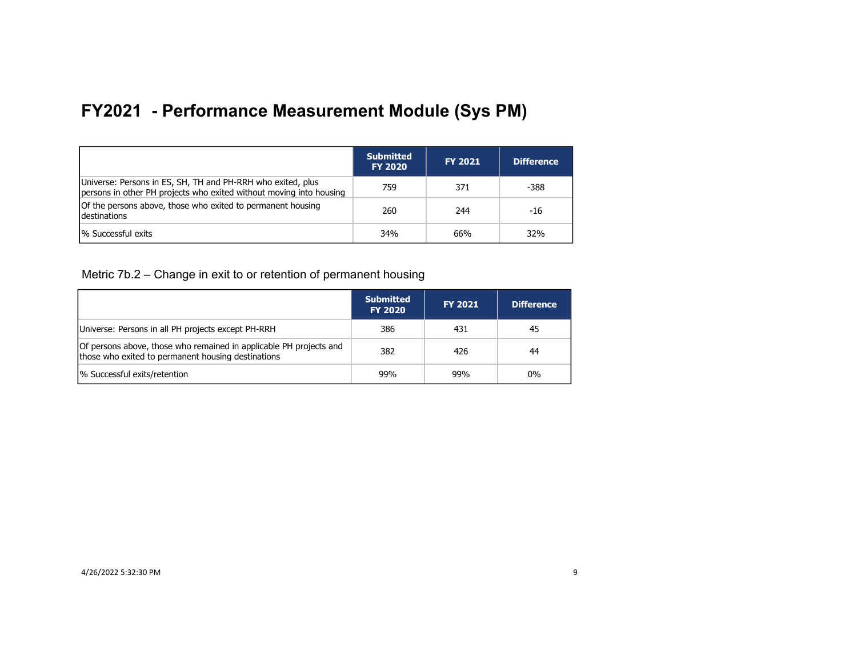|                                                                                                                                    | <b>Submitted</b><br><b>FY 2020</b> | <b>FY 2021</b> | <b>Difference</b> |
|------------------------------------------------------------------------------------------------------------------------------------|------------------------------------|----------------|-------------------|
| Universe: Persons in ES, SH, TH and PH-RRH who exited, plus<br>persons in other PH projects who exited without moving into housing | 759                                | 371            | -388              |
| Of the persons above, those who exited to permanent housing<br>destinations                                                        | 260                                | 244            | -16               |
| <sup>1</sup> % Successful exits                                                                                                    | 34%                                | 66%            | 32%               |

Metric 7b.2 – Change in exit to or retention of permanent housing

|                                                                                                                          | <b>Submitted</b><br><b>FY 2020</b> | <b>FY 2021</b> | <b>Difference</b> |
|--------------------------------------------------------------------------------------------------------------------------|------------------------------------|----------------|-------------------|
| Universe: Persons in all PH projects except PH-RRH                                                                       | 386                                | 431            | 45                |
| Of persons above, those who remained in applicable PH projects and<br>those who exited to permanent housing destinations | 382                                | 426            | 44                |
| % Successful exits/retention                                                                                             | 99%                                | 99%            | $0\%$             |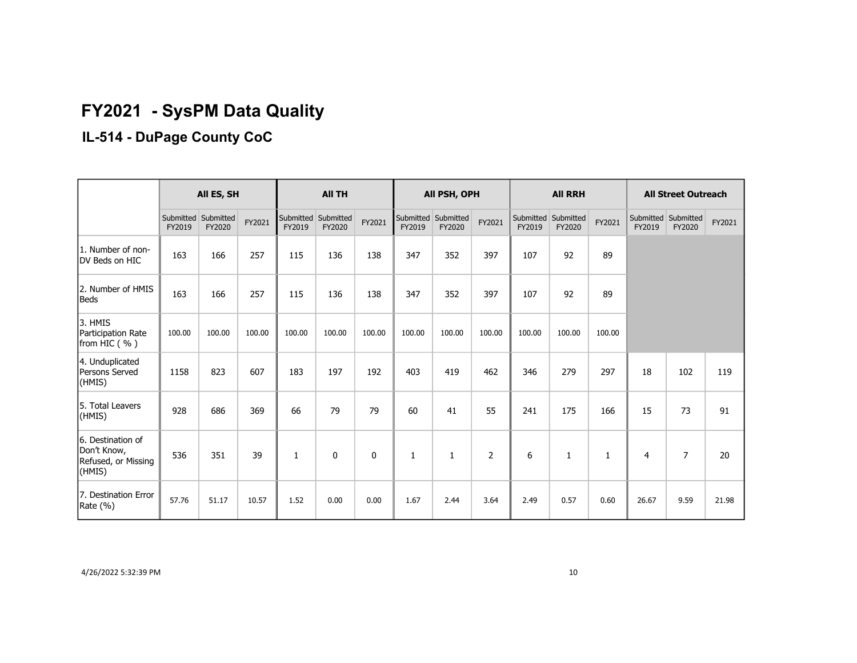# **FY2021 - SysPM Data Quality**

# **IL-514 - DuPage County CoC**

|                                                                   | All ES, SH          |                     |        | <b>All TH</b>       |                     |        | All PSH, OPH        |                     | <b>All RRH</b> |                     |                     | <b>All Street Outreach</b> |                               |                |        |
|-------------------------------------------------------------------|---------------------|---------------------|--------|---------------------|---------------------|--------|---------------------|---------------------|----------------|---------------------|---------------------|----------------------------|-------------------------------|----------------|--------|
|                                                                   | Submitted<br>FY2019 | Submitted<br>FY2020 | FY2021 | Submitted<br>FY2019 | Submitted<br>FY2020 | FY2021 | Submitted<br>FY2019 | Submitted<br>FY2020 | FY2021         | Submitted<br>FY2019 | Submitted<br>FY2020 | FY2021                     | Submitted Submitted<br>FY2019 | FY2020         | FY2021 |
| 1. Number of non-<br>DV Beds on HIC                               | 163                 | 166                 | 257    | 115                 | 136                 | 138    | 347                 | 352                 | 397            | 107                 | 92                  | 89                         |                               |                |        |
| 2. Number of HMIS<br><b>Beds</b>                                  | 163                 | 166                 | 257    | 115                 | 136                 | 138    | 347                 | 352                 | 397            | 107                 | 92                  | 89                         |                               |                |        |
| 3. HMIS<br>Participation Rate<br>from HIC (%)                     | 100.00              | 100.00              | 100.00 | 100.00              | 100.00              | 100.00 | 100.00              | 100.00              | 100.00         | 100.00              | 100.00              | 100.00                     |                               |                |        |
| 4. Unduplicated<br>Persons Served<br>(HMIS)                       | 1158                | 823                 | 607    | 183                 | 197                 | 192    | 403                 | 419                 | 462            | 346                 | 279                 | 297                        | 18                            | 102            | 119    |
| 5. Total Leavers<br>(HMIS)                                        | 928                 | 686                 | 369    | 66                  | 79                  | 79     | 60                  | 41                  | 55             | 241                 | 175                 | 166                        | 15                            | 73             | 91     |
| 6. Destination of<br>Don't Know,<br>Refused, or Missing<br>(HMIS) | 536                 | 351                 | 39     | 1                   | $\mathbf{0}$        | 0      | 1                   | 1                   | $\overline{2}$ | 6                   | $\mathbf{1}$        | $\mathbf{1}$               | 4                             | $\overline{7}$ | 20     |
| 7. Destination Error<br>Rate (%)                                  | 57.76               | 51.17               | 10.57  | 1.52                | 0.00                | 0.00   | 1.67                | 2.44                | 3.64           | 2.49                | 0.57                | 0.60                       | 26.67                         | 9.59           | 21.98  |